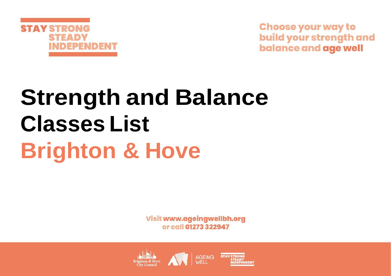

**Choose your way to** build your strength and **balance and age well** 

# **Strength and Balance Classes List Brighton & Hove**

**Visit www.ageingwellbh.org** or call 01273 322947

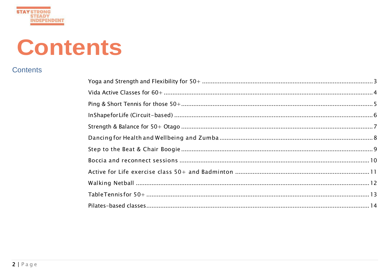# **Contents**

# **Contents**

**STAY STRONG STEADY INDEPENDENT**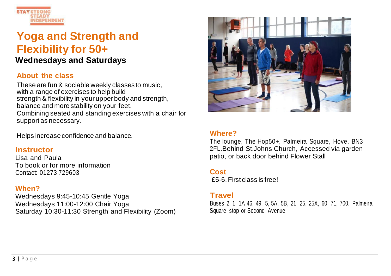

# <span id="page-2-0"></span>**Yoga and Strength and Flexibility for 50+ Wednesdays and Saturdays**

#### **About the class**

These are fun & sociable weekly classes to music, with a range of exercises to help build strength & flexibility in your upper body and strength, balance and more stability on your feet. Combining seated and standing exercises with a chair for support as necessary.

Helps increaseconfidence and balance.

#### **Instructor**

Lisa and Paula To book or for more information Contact: 01273 729603

#### **When?**

Wednesdays 9:45-10:45 Gentle Yoga Wednesdays 11:00-12:00 Chair Yoga Saturday 10:30-11:30 Strength and Flexibility (Zoom)



#### **Where?**

The lounge, The Hop50+, Palmeira Square, Hove. BN3 2FL.Behind St.Johns Church, Accessed via garden patio, or back door behind Flower Stall

#### **Cost**

£5-6.First class is free!

#### **Travel**

Buses 2, 1, 1A 46, 49, 5, 5A, 5B, 21, 25, 25X, 60, 71, 700. Palmeira Square stop or Second Avenue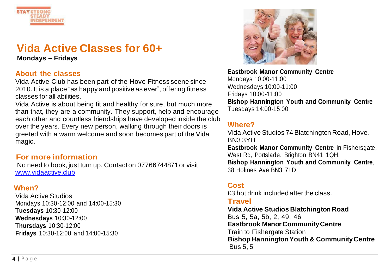

# <span id="page-3-0"></span>**Vida Active Classes for 60+**

**Mondays – Fridays**

#### **About the classes**

Vida Active Club has been part of the Hove Fitness scene since 2010. It is a place "as happy and positive as ever", offering fitness classes for all abilities.

Vida Active is about being fit and healthy for sure, but much more than that, they are a community. They support, help and encourage each other and countless friendships have developed inside the club over the years. Every new person, walking through their doors is greeted with a warm welcome and soon becomes part of the Vida magic.

# **For more information**

No need to book, just turn up. Contact on 07766744871 or visit [www.vidaactive.club](http://www.vidaactive.club/)

#### **When?**

Vida Active Studios Mondays 10:30-12:00 and 14:00-15:30 **Tuesdays** 10:30-12:00 **Wednesdays** 10:30-12:00 **Thursdays** 10:30-12:00 **Fridays** 10:30-12:00 and 14:00-15:30



#### **Eastbrook Manor Community Centre**  Mondays 10:00-11:00 Wednesdays 10:00-11:00 Fridays 10:00-11:00 **Bishop Hannington Youth and Community Centre** Tuesdays 14:00-15:00

# **Where?**

Vida Active Studios 74 Blatchington Road,Hove, BN3 3YH **Eastbrook Manor Community Centre** in Fishersgate, West Rd, Portslade, Brighton BN41 1QH. **Bishop Hannington Youth and Community Centre**, 38 Holmes Ave BN3 7LD

# **Cost**

£3 hot drink included afterthe class.

#### **Travel**

**Vida Active Studios Blatchington Road** Bus 5, 5a, 5b, 2, 49, 46 **Eastbrook Manor Community Centre**  Train to Fishergate Station **Bishop Hannington Youth & Community Centre** Bus 5, 5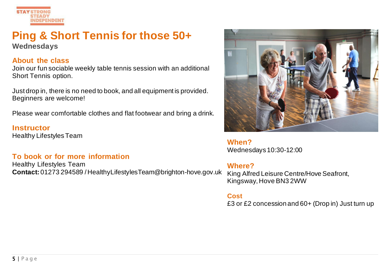

# <span id="page-4-0"></span>**Ping & Short Tennis for those 50+ Wednesdays**

#### **About the class**

Join our fun sociable weekly table tennis session with an additional Short Tennis option.

Just drop in, there is no need to book, and all equipment is provided. Beginners are welcome!

Please wear comfortable clothes and flat footwear and bring a drink.

**Instructor**  Healthy LifestylesTeam

# **To book or for more information**

Healthy Lifestyles Team **Contact:** 01273 294589 [/HealthyLifestylesTeam@brighton-hove.gov.uk](mailto:HealthyLifestylesTeam@brighton-hove.gov.uk)



**When?** Wednesdays10:30-12:00

# **Where?**

King Alfred Leisure Centre/Hove Seafront, Kingsway, Hove BN3 2WW

#### **Cost**

£3 or £2 concession and 60+ (Drop in) Just turn up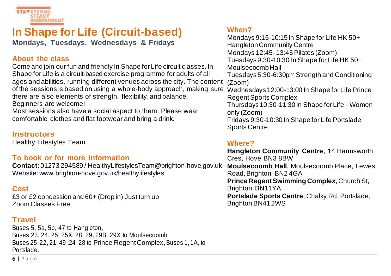

# <span id="page-5-0"></span>**In Shape for Life (Circuit-based)**

**Mondays, Tuesdays, Wednesdays & Fridays**

#### **About the class**

Come and join our fun and friendly In Shape for Life circuit classes. In Shape for Life is a circuit-based exercise programme for adults of all ages and abilities, running different venues across the city. The content of the sessions is based on using a whole-body approach, making sure there are also elements of strength, flexibility, and balance. Beginners are welcome!

Most sessions also have a social aspect to them. Please wear comfortable clothes and flat footwear and bring a drink.

#### **Instructors**

Healthy Lifestyles Team

# **To book or for more information**

**Contact:** 01273 294589 / [HealthyLifestylesTeam@brighton-hove.gov.uk](mailto:HealthyLifestylesTeam@brighton-hove.gov.uk) **Moulsecoomb Hall**, Moulsecoomb Place, Lewes Website: www. brighton-hove.gov.uk/healthylifestyles

# **Cost**

£3 or £2 concession and 60+ (Drop in) Just turn up Zoom Classes Free

# **Travel**

Buses 5, 5a, 5b, 47 to Hangleton, Buses 23, 24, 25, 25X, 28, 29, 29B, 29X to Moulsecoomb Buses 25, 22, 21, 49 ,24 ,28 to Prince Regent Complex, Buses 1, 1A, to Portslade.

# **When?**

Mondays 9:15-10:15 In Shape for Life HK 50+ Hangleton Community Centre Mondays 12:45- 13:45 Pilates (Zoom) Tuesdays 9:30-10:30 In Shape for Life HK 50+ Moulsecoomb Hall Tuesdays 5:30-6:30pm Strength and Conditioning (Zoom) Wednesdays 12:00-13:00 In Shape for Life Prince Regent Sports Complex Thursdays10:30-11:30 In Shape for Life - Women only (Zoom) Fridays 9:30-10:30 In Shape for Life Portslade Sports Centre

#### **Where?**

**Hangleton Community Centre**, 14 Harmsworth Cres, Hove BN3 8BW Road, Brighton BN2 4GA **Prince Regent Swimming Complex**, Church St, Brighton BN11YA **Portslade Sports Centre**, Chalky Rd, Portslade, Brighton BN412WS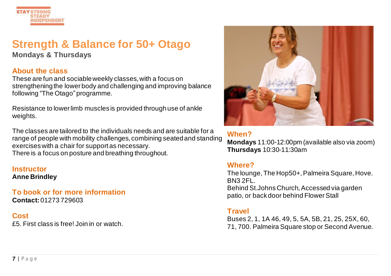

# <span id="page-6-0"></span>**Strength & Balance for 50+ Otago**

**Mondays & Thursdays**

#### **About the class**

These are fun and sociable weekly classes, with a focus on strengthening the lower body and challenging and improving balance following "The Otago" programme.

Resistance to lower limb muscles is provided through use of ankle weights.

The classes are tailored to the individuals needs and are suitable for a range of people with mobility challenges, combining seated and standing exercises with a chair for support as necessary. There is a focus on posture and breathing throughout.

#### **Instructor Anne Brindley**

**To book or for more information Contact:** 01273 729603

**Cost**

£5. First class is free! Join in or watch.



#### **When?**

**Mondays** 11:00-12:00pm (available also via zoom) **Thursdays** 10:30-11:30am

#### **Where?**

The lounge, The Hop50+, Palmeira Square, Hove. BN3 2FL.

Behind St.Johns Church, Accessed via garden patio, or back door behind Flower Stall

# **Travel**

Buses 2, 1, 1A 46, 49, 5, 5A, 5B, 21, 25, 25X, 60, 71, 700. Palmeira Square stop or Second Avenue.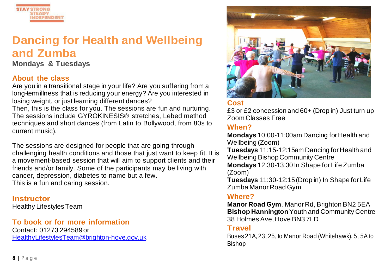

# <span id="page-7-0"></span>**Dancing for Health and Wellbeing and Zumba**

**Mondays & Tuesdays**

# **About the class**

Are you in a transitional stage in your life? Are you suffering from a long-termillness that is reducing your energy? Are you interested in losing weight, or just learning different dances?

Then, this is the class for you. The sessions are fun and nurturing. The sessions include GYROKINESIS® stretches, Lebed method techniques and short dances (from Latin to Bollywood, from 80s to current music).

The sessions are designed for people that are going through challenging health conditions and those that just want to keep fit. It is a movement-based session that will aim to support clients and their friends and/or family. Some of the participants may be living with cancer, depression, diabetes to name but a few. This is a fun and caring session.

**Instructor**  Healthy LifestylesTeam

**To book or for more information** Contact: 01273 294589or [HealthyLifestylesTeam@brighton-hove.gov.uk](mailto:HealthyLifestylesTeam@brighton-hove.gov.uk)



# **Cost**

£3 or £2 concession and 60+ (Drop in) Just turn up Zoom Classes Free

# **When?**

**Mondays** 10:00-11:00am Dancing for Health and Wellbeing (Zoom)

**Tuesdays** 11:15-12:15am Dancing for Health and Wellbeing Bishop Community Centre

**Mondays** 12:30-13:30 In Shape for Life Zumba (Zoom)

**Tuesdays** 11:30-12:15 (Drop in) In Shape for Life Zumba Manor Road Gym

#### **Where?**

**Manor Road Gym**, Manor Rd, Brighton BN2 5EA **Bishop Hannington**Youth and Community Centre 38 Holmes Ave, Hove BN3 7LD

#### **Travel**

Buses 21A, 23, 25, to Manor Road (Whitehawk), 5, 5A to Bishop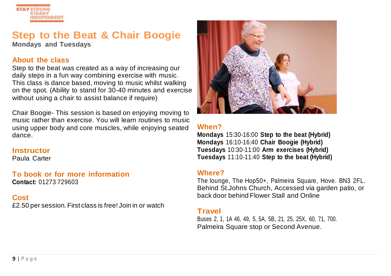

# <span id="page-8-0"></span>**Step to the Beat & Chair Boogie**

**Mondays and Tuesdays**

## **About the class**

Step to the beat was created as a way of increasing our daily steps in a fun way combining exercise with music. This class is dance based, moving to music whilst walking on the spot. (Ability to stand for 30-40 minutes and exercise without using a chair to assist balance if require)

Chair Boogie- This session is based on enjoying moving to music rather than exercise. You will learn routines to music using upper body and core muscles, while enjoying seated dance.

#### **Instructor**

Paula Carter

**To book or for more information Contact:** 01273 729603

# **Cost**

£2.50 per session. First class is free! Join in or watch



# **When?**

**Mondays** 15:30-16:00 **Step to the beat (Hybrid) Mondays** 16:10-16:40 **Chair Boogie (Hybrid) Tuesdays** 10:30-11:00 **Arm exercises (Hybrid) Tuesdays** 11:10-11:40 **Step to the beat (Hybrid)**

# **Where?**

The lounge, The Hop50+, Palmeira Square, Hove. BN3 2FL. Behind St.Johns Church, Accessed via garden patio, or back door behind Flower Stall and Online

#### **Travel**

<span id="page-8-1"></span>Buses 2, 1, 1A 46, 49, 5, 5A, 5B, 21, 25, 25X, 60, 71, 700. Palmeira Square stop or Second Avenue.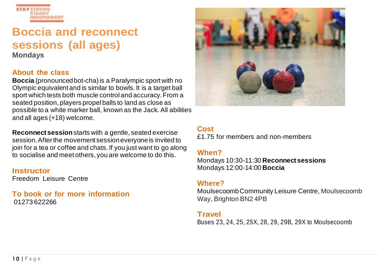

# **Boccia and reconnect sessions (all ages)**

**Mondays**

#### **About the class**

**Boccia** (pronounced bot-cha) is a Paralympic sport with no Olympic equivalent and is similar to bowls. It is a target ball sport which tests both muscle control and accuracy. From a seated position, players propel balls to land as close as possible to a white marker ball, known as the Jack. All abilities and all ages (+18) welcome.

**Reconnect session**starts with a gentle, seated exercise session. After the movement session everyone is invited to join for a tea or coffee and chats. If you just want to go along to socialise and meet others, you are welcome to do this.

#### **Instructor**

Freedom Leisure Centre

#### **To book or for more information** 01273 622266



# **Cost**

£1.75 for members and non-members

# **When?**

Mondays 10:30-11:30 **Reconnect sessions** Mondays 12:00-14:00 **Boccia**

#### **Where?**

Moulsecoomb Community Leisure Centre, Moulsecoomb Way, Brighton BN2 4PB

#### **Travel**

Buses 23, 24, 25, 25X, 28, 29, 29B, 29X to Moulsecoomb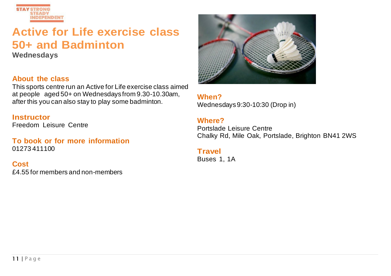

# <span id="page-10-0"></span>**Active for Life exercise class 50+ and Badminton**

**Wednesdays**

#### **About the class**

This sports centre run an Active for Life exercise class aimed at people aged 50+ on Wednesdays from 9.30-10.30am, after this you can also stay to play some badminton.

#### **Instructor**

Freedom Leisure Centre

#### **To book or for more information** 01273 411100

**Cost** £4.55 for members and non-members



**When?** Wednesdays 9:30-10:30 (Drop in)

#### **Where?**

Portslade Leisure Centre Chalky Rd, Mile Oak, Portslade, Brighton BN41 2WS

# **Travel**

Buses 1, 1A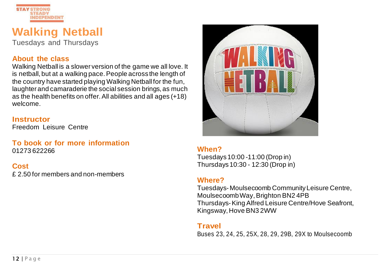

# <span id="page-11-0"></span>**Walking Netball**

Tuesdays and Thursdays

#### **About the class**

Walking Netball is a slower version of the game we all love. It is netball, but at a walking pace. People across the length of the country have started playing Walking Netball for the fun, laughter and camaraderie the social session brings, as much as the health benefits on offer. All abilities and all ages (+18) welcome.

#### **Instructor**

Freedom Leisure Centre

#### **To book or for more information** 01273 622266

**Cost** £ 2.50 for members and non-members



# **When?**

Tuesdays 10:00 -11:00 (Drop in) Thursdays 10:30 - 12:30 (Drop in)

# **Where?**

Tuesdays- Moulsecoomb Community Leisure Centre, Moulsecoomb Way, Brighton BN2 4PB Thursdays-King Alfred Leisure Centre/Hove Seafront, Kingsway, Hove BN3 2WW

# **Travel**

Buses 23, 24, 25, 25X, 28, 29, 29B, 29X to Moulsecoomb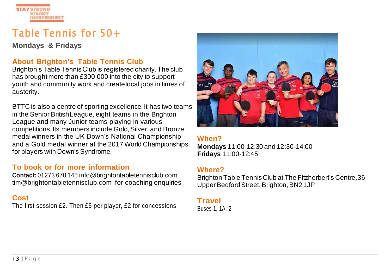

# <span id="page-12-0"></span>Table Tennis for 50+

**Mondays & Fridays**

# **About Brighton's Table Tennis Club**

Brighton's Table Tennis Club is registered charity. The club has brought more than £300,000 into the city to support youth and community work and createlocal jobs in times of austerity.

BTTC is also a centre of sporting excellence. It has two teams in the Senior BritishLeague, eight teams in the Brighton League and many Junior teams playing in various competitions. Its members include Gold, Silver, and Bronze medal winners in the UK Down's National Championship and a Gold medal winner at the 2017 World Championships for players with Down's Syndrome.

#### **To book or for more information**

**Contact:** 01273 670 145 [info@brightontabletennisclub.com](mailto:info@brightontabletennisclub.com) [tim@brightontabletennisclub.com](mailto:tim@brightontabletennisclub.com) for coaching enquiries

# **Cost**

The first session £2. Then £5 per player, £2 for concessions



#### **When?**

**Mondays** 11:00-12:30 and 12:30-14:00 **Fridays** 11:00-12:45

#### **Where?**

Brighton Table TennisClub at The Fitzherbert's Centre,36 Upper Bedford Street, Brighton, BN21JP

#### **Travel**

Buses 1, 1A, 2